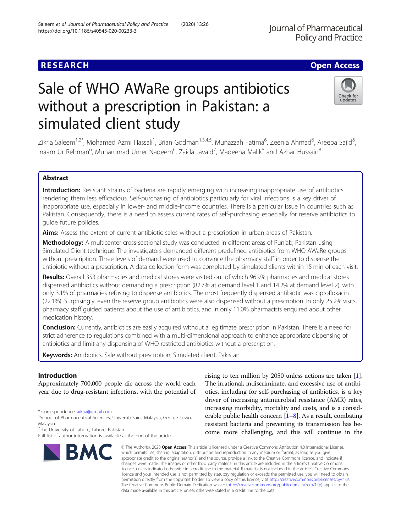## **RESEARCH CHE Open Access**

# Sale of WHO AWaRe groups antibiotics without a prescription in Pakistan: a simulated client study

Zikria Saleem<sup>1,2\*</sup>, Mohamed Azmi Hassali<sup>1</sup>, Brian Godman<sup>1,3,4,5</sup>, Munazzah Fatima<sup>6</sup>, Zeenia Ahmad<sup>6</sup>, Areeba Sajid<sup>6</sup> , Inaam Ur Rehman<sup>6</sup>, Muhammad Umer Nadeem<sup>6</sup>, Zaida Javaid<sup>7</sup>, Madeeha Malik<sup>8</sup> and Azhar Hussain<sup>8</sup>

## Abstract

Introduction: Resistant strains of bacteria are rapidly emerging with increasing inappropriate use of antibiotics rendering them less efficacious. Self-purchasing of antibiotics particularly for viral infections is a key driver of inappropriate use, especially in lower- and middle-income countries. There is a particular issue in countries such as Pakistan. Consequently, there is a need to assess current rates of self-purchasing especially for reserve antibiotics to guide future policies.

Aims: Assess the extent of current antibiotic sales without a prescription in urban areas of Pakistan.

Methodology: A multicenter cross-sectional study was conducted in different areas of Punjab, Pakistan using Simulated Client technique. The investigators demanded different predefined antibiotics from WHO AWaRe groups without prescription. Three levels of demand were used to convince the pharmacy staff in order to dispense the antibiotic without a prescription. A data collection form was completed by simulated clients within 15 min of each visit.

Results: Overall 353 pharmacies and medical stores were visited out of which 96.9% pharmacies and medical stores dispensed antibiotics without demanding a prescription (82.7% at demand level 1 and 14.2% at demand level 2), with only 3.1% of pharmacies refusing to dispense antibiotics. The most frequently dispensed antibiotic was ciprofloxacin (22.1%). Surprisingly, even the reserve group antibiotics were also dispensed without a prescription. In only 25.2% visits, pharmacy staff guided patients about the use of antibiotics, and in only 11.0% pharmacists enquired about other medication history.

**Conclusion:** Currently, antibiotics are easily acquired without a legitimate prescription in Pakistan. There is a need for strict adherence to regulations combined with a multi-dimensional approach to enhance appropriate dispensing of antibiotics and limit any dispensing of WHO restricted antibiotics without a prescription.

Keywords: Antibiotics, Sale without prescription, Simulated client, Pakistan

## Introduction

Approximately 700,000 people die across the world each year due to drug-resistant infections, with the potential of

<sup>2</sup>The University of Lahore, Lahore, Pakistan

**BMC** 

#### © The Author(s), 2020 **Open Access** This article is licensed under a Creative Commons Attribution 4.0 International License, which permits use, sharing, adaptation, distribution and reproduction in any medium or format, as long as you give appropriate credit to the original author(s) and the source, provide a link to the Creative Commons licence, and indicate if changes were made. The images or other third party material in this article are included in the article's Creative Commons licence, unless indicated otherwise in a credit line to the material. If material is not included in the article's Creative Commons licence and your intended use is not permitted by statutory regulation or exceeds the permitted use, you will need to obtain permission directly from the copyright holder. To view a copy of this licence, visit [http://creativecommons.org/licenses/by/4.0/.](http://creativecommons.org/licenses/by/4.0/) The Creative Commons Public Domain Dedication waiver [\(http://creativecommons.org/publicdomain/zero/1.0/](http://creativecommons.org/publicdomain/zero/1.0/)) applies to the data made available in this article, unless otherwise stated in a credit line to the data.

The irrational, indiscriminate, and excessive use of antibiotics, including for self-purchasing of antibiotics, is a key driver of increasing antimicrobial resistance (AMR) rates, increasing morbidity, mortality and costs, and is a considerable public health concern  $[1-8]$  $[1-8]$  $[1-8]$  $[1-8]$  $[1-8]$ . As a result, combating resistant bacteria and preventing its transmission has become more challenging, and this will continue in the

rising to ten million by 2050 unless actions are taken [[1](#page-5-0)].





<sup>\*</sup> Correspondence: [xikria@gmail.com](mailto:xikria@gmail.com) <sup>1</sup>

<sup>&</sup>lt;sup>1</sup>School of Pharmaceutical Sciences, Universiti Sains Malaysia, George Town, Malaysia

Full list of author information is available at the end of the article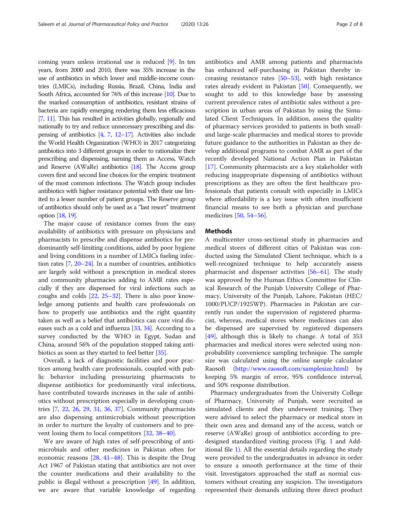coming years unless irrational use is reduced [[9\]](#page-5-0). In ten years, from 2000 and 2010, there was 35% increase in the use of antibiotics in which lower and middle-income countries (LMICs), including Russia, Brazil, China, India and South Africa, accounted for 76% of this increase [\[10](#page-5-0)]. Due to the marked consumption of antibiotics, resistant strains of bacteria are rapidly emerging rendering them less efficacious [[7](#page-5-0), [11](#page-5-0)]. This has resulted in activities globally, regionally and nationally to try and reduce unnecessary prescribing and dispensing of antibiotics [[4](#page-5-0), [7](#page-5-0), [12](#page-5-0)–[17\]](#page-6-0). Activities also include the World Health Organization (WHO) in 2017 categorizing antibiotics into 3 different groups in order to rationalize their prescribing and dispensing, naming them as Access, Watch and Reserve (AWaRe) antibiotics  $[18]$  $[18]$ . The Access group covers first and second line choices for the empiric treatment of the most common infections. The Watch group includes antibiotics with higher resistance potential with their use limited to a lesser number of patient groups. The Reserve group of antibiotics should only be used as a "last resort" treatment option [\[18](#page-6-0), [19](#page-6-0)].

The major cause of resistance comes from the easy availability of antibiotics with pressure on physicians and pharmacists to prescribe and dispense antibiotics for predominantly self-limiting conditions, aided by poor hygiene and living conditions in a number of LMICs fueling infection rates [\[7](#page-5-0), [20](#page-6-0)–[24](#page-6-0)]. In a number of countries, antibiotics are largely sold without a prescription in medical stores and community pharmacies adding to AMR rates especially if they are dispensed for viral infections such as coughs and colds [\[22,](#page-6-0) [25](#page-6-0)–[32\]](#page-6-0). There is also poor knowledge among patients and health care professionals on how to properly use antibiotics and the right quantity taken as well as a belief that antibiotics can cure viral diseases such as a cold and influenza [[33](#page-6-0), [34\]](#page-6-0). According to a survey conducted by the WHO in Egypt, Sudan and China, around 56% of the population stopped taking antibiotics as soon as they started to feel better [\[35\]](#page-6-0).

Overall, a lack of diagnostic facilities and poor practices among health care professionals, coupled with public behavior including pressurizing pharmacists to dispense antibiotics for predominantly viral infections, have contributed towards increases in the sale of antibiotics without prescription especially in developing countries [\[7](#page-5-0), [22,](#page-6-0) [26](#page-6-0), [29](#page-6-0), [31,](#page-6-0) [36](#page-6-0), [37](#page-6-0)]. Community pharmacists are also dispensing antimicrobials without prescription in order to nurture the loyalty of customers and to prevent losing them to local competitors [\[32](#page-6-0), [38](#page-6-0)–[40\]](#page-6-0).

We are aware of high rates of self-prescribing of antimicrobials and other medicines in Pakistan often for economic reasons [[28,](#page-6-0) [41](#page-6-0)–[48](#page-6-0)]. This is despite the Drug Act 1967 of Pakistan stating that antibiotics are not over the counter medications and their availability to the public is illegal without a prescription [\[49](#page-6-0)]. In addition, we are aware that variable knowledge of regarding antibiotics and AMR among patients and pharmacists has enhanced self-purchasing in Pakistan thereby increasing resistance rates [\[50](#page-6-0)–[53\]](#page-6-0), with high resistance rates already evident in Pakistan [[50\]](#page-6-0). Consequently, we sought to add to this knowledge base by assessing current prevalence rates of antibiotic sales without a prescription in urban areas of Pakistan by using the Simulated Client Techniques. In addition, assess the quality of pharmacy services provided to patients in both smalland large-scale pharmacies and medical stores to provide future guidance to the authorities in Pakistan as they develop additional programs to combat AMR as part of the recently developed National Action Plan in Pakistan [[17\]](#page-6-0). Community pharmacists are a key stakeholder with reducing inappropriate dispensing of antibiotics without prescriptions as they are often the first healthcare professionals that patients consult with especially in LMICs where affordability is a key issue with often insufficient financial means to see both a physician and purchase medicines [[50,](#page-6-0) [54](#page-6-0)–[56](#page-6-0)].

#### **Methods**

A multicenter cross-sectional study in pharmacies and medical stores of different cities of Pakistan was conducted using the Simulated Client technique, which is a well-recognized technique to help accurately assess pharmacist and dispenser activities [\[56](#page-6-0)–[61\]](#page-6-0). The study was approved by the Human Ethics Committee for Clinical Research of the Punjab University College of Pharmacy, University of the Punjab, Lahore, Pakistan (HEC/ 1000/PUCP/1925WP). Pharmacies in Pakistan are currently run under the supervision of registered pharmacist, whereas, medical stores where medicines can also be dispensed are supervised by registered dispensers [[49\]](#page-6-0), although this is likely to change. A total of 353 pharmacies and medical stores were selected using nonprobability convenience sampling technique. The sample size was calculated using the online sample calculator Raosoft [\(http://www.raosoft.com/samplesize.html\)](http://www.raosoft.com/samplesize.html) by keeping 5% margin of error, 95% confidence interval, and 50% response distribution.

Pharmacy undergraduates from the University College of Pharmacy, University of Punjab, were recruited as simulated clients and they underwent training. They were advised to select the pharmacy or medical store in their own area and demand any of the access, watch or reserve (AWaRe) group of antibiotics according to predesigned standardized visiting process (Fig. [1](#page-2-0) and Additional file [1\)](#page-5-0). All the essential details regarding the study were provided to the undergraduates in advance in order to ensure a smooth performance at the time of their visit. Investigators approached the staff as normal customers without creating any suspicion. The investigators represented their demands utilizing three direct product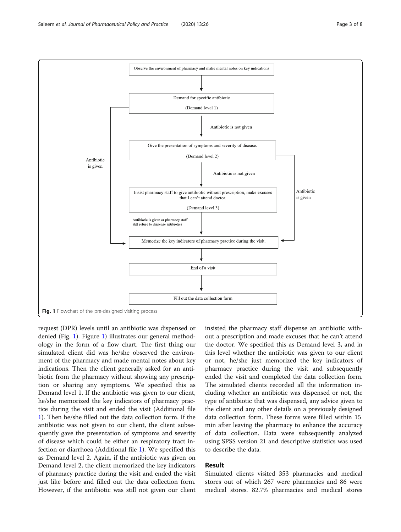<span id="page-2-0"></span>

request (DPR) levels until an antibiotic was dispensed or denied (Fig. 1). Figure 1) illustrates our general methodology in the form of a flow chart. The first thing our simulated client did was he/she observed the environment of the pharmacy and made mental notes about key indications. Then the client generally asked for an antibiotic from the pharmacy without showing any prescription or sharing any symptoms. We specified this as Demand level 1. If the antibiotic was given to our client, he/she memorized the key indicators of pharmacy practice during the visit and ended the visit (Additional file [1\)](#page-5-0). Then he/she filled out the data collection form. If the antibiotic was not given to our client, the client subsequently gave the presentation of symptoms and severity of disease which could be either an respiratory tract infection or diarrhoea (Additional file [1](#page-5-0)). We specified this as Demand level 2. Again, if the antibiotic was given on Demand level 2, the client memorized the key indicators of pharmacy practice during the visit and ended the visit just like before and filled out the data collection form. However, if the antibiotic was still not given our client insisted the pharmacy staff dispense an antibiotic without a prescription and made excuses that he can't attend the doctor. We specified this as Demand level 3, and in this level whether the antibiotic was given to our client or not, he/she just memorized the key indicators of pharmacy practice during the visit and subsequently ended the visit and completed the data collection form. The simulated clients recorded all the information including whether an antibiotic was dispensed or not, the type of antibiotic that was dispensed, any advice given to the client and any other details on a previously designed data collection form. These forms were filled within 15 min after leaving the pharmacy to enhance the accuracy of data collection. Data were subsequently analyzed using SPSS version 21 and descriptive statistics was used to describe the data.

## Result

Simulated clients visited 353 pharmacies and medical stores out of which 267 were pharmacies and 86 were medical stores. 82.7% pharmacies and medical stores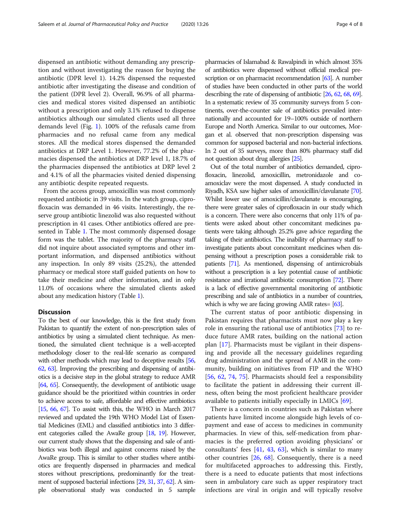dispensed an antibiotic without demanding any prescription and without investigating the reason for buying the antibiotic (DPR level 1). 14.2% dispensed the requested antibiotic after investigating the disease and condition of the patient (DPR level 2). Overall, 96.9% of all pharmacies and medical stores visited dispensed an antibiotic without a prescription and only 3.1% refused to dispense antibiotics although our simulated clients used all three demands level (Fig. [1](#page-2-0)). 100% of the refusals came from pharmacies and no refusal came from any medical stores. All the medical stores dispensed the demanded antibiotics at DRP Level 1. However, 77.2% of the pharmacies dispensed the antibiotics at DRP level 1, 18.7% of the pharmacies dispensed the antibiotics at DRP level 2 and 4.1% of all the pharmacies visited denied dispensing any antibiotic despite repeated requests.

From the access group, amoxicillin was most commonly requested antibiotic in 39 visits. In the watch group, ciprofloxacin was demanded in 46 visits. Interestingly, the reserve group antibiotic linezolid was also requested without prescription in 41 cases. Other antibiotics offered are presented in Table [1](#page-4-0). The most commonly dispensed dosage form was the tablet. The majority of the pharmacy staff did not inquire about associated symptoms and other important information, and dispensed antibiotics without any inspection. In only 89 visits (25.2%), the attended pharmacy or medical store staff guided patients on how to take their medicine and other information, and in only 11.0% of occasions where the simulated clients asked about any medication history (Table [1\)](#page-4-0).

## **Discussion**

To the best of our knowledge, this is the first study from Pakistan to quantify the extent of non-prescription sales of antibiotics by using a simulated client technique. As mentioned, the simulated client technique is a well-accepted methodology closer to the real-life scenario as compared with other methods which may lead to deceptive results [\[56](#page-6-0), [62,](#page-7-0) [63\]](#page-7-0). Improving the prescribing and dispensing of antibiotics is a decisive step in the global strategy to reduce AMR [[64,](#page-7-0) [65\]](#page-7-0). Consequently, the development of antibiotic usage guidance should be the prioritized within countries in order to achieve access to safe, affordable and effective antibiotics [[15,](#page-5-0) [66,](#page-7-0) [67\]](#page-7-0). To assist with this, the WHO in March 2017 reviewed and updated the 19th WHO Model List of Essential Medicines (EML) and classified antibiotics into 3 different categories called the AwaRe group [\[18](#page-6-0), [19\]](#page-6-0). However, our current study shows that the dispensing and sale of antibiotics was both illegal and against concerns raised by the AwaRe group. This is similar to other studies where antibiotics are frequently dispensed in pharmacies and medical stores without prescriptions, predominantly for the treatment of supposed bacterial infections [\[29,](#page-6-0) [31,](#page-6-0) [37](#page-6-0), [62](#page-7-0)]. A simple observational study was conducted in 5 sample

pharmacies of Islamabad & Rawalpindi in which almost 35% of antibiotics were dispensed without official medical pre-scription or on pharmacist recommendation [\[63\]](#page-7-0). A number of studies have been conducted in other parts of the world describing the rate of dispensing of antibiotic [\[26,](#page-6-0) [62,](#page-7-0) [68,](#page-7-0) [69\]](#page-7-0). In a systematic review of 35 community surveys from 5 continents, over-the-counter sale of antibiotics prevailed internationally and accounted for 19–100% outside of northern Europe and North America. Similar to our outcomes, Morgan et al. observed that non-prescription dispensing was common for supposed bacterial and non-bacterial infections. In 2 out of 35 surveys, more than 80% pharmacy staff did not question about drug allergies [\[25](#page-6-0)].

Out of the total number of antibiotics demanded, ciprofloxacin, linezolid, amoxicillin, metronidazole and coamoxiclav were the most dispensed. A study conducted in Riyadh, KSA saw higher sales of amoxicillin/clavulanate [\[70\]](#page-7-0). Whilst lower use of amoxicillin/clavulanate is encouraging, there were greater sales of ciprofloxacin in our study which is a concern. There were also concerns that only 11% of patients were asked about other concomitant medicines patients were taking although 25.2% gave advice regarding the taking of their antibiotics. The inability of pharmacy staff to investigate patients about concomitant medicines when dispensing without a prescription poses a considerable risk to patients [\[71](#page-7-0)]. As mentioned, dispensing of antimicrobials without a prescription is a key potential cause of antibiotic resistance and irrational antibiotic consumption [\[72](#page-7-0)]. There is a lack of effective governmental monitoring of antibiotic prescribing and sale of antibiotics in a number of countries, which is why we are facing growing AMR rates= [\[63\]](#page-7-0).

The current status of poor antibiotic dispensing in Pakistan requires that pharmacists must now play a key role in ensuring the rational use of antibiotics [\[73](#page-7-0)] to reduce future AMR rates, building on the national action plan [[17\]](#page-6-0). Pharmacists must be vigilant in their dispensing and provide all the necessary guidelines regarding drug administration and the spread of AMR in the community, building on initiatives from FIP and the WHO [[56,](#page-6-0) [62](#page-7-0), [74](#page-7-0), [75\]](#page-7-0). Pharmacists should feel a responsibility to facilitate the patient in addressing their current illness, often being the most proficient healthcare provider available to patients initially especially in LMICs [[69\]](#page-7-0).

There is a concern in countries such as Pakistan where patients have limited income alongside high levels of copayment and ease of access to medicines in community pharmacies. In view of this, self-medication from pharmacies is the preferred option avoiding physicians' or consultants' fees  $[41, 43, 63]$  $[41, 43, 63]$  $[41, 43, 63]$  $[41, 43, 63]$  $[41, 43, 63]$ , which is similar to many other countries [\[26,](#page-6-0) [68](#page-7-0)]. Consequently, there is a need for multifaceted approaches to addressing this. Firstly, there is a need to educate patients that most infections seen in ambulatory care such as upper respiratory tract infections are viral in origin and will typically resolve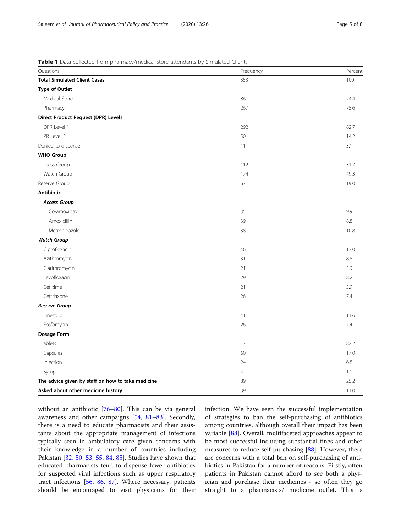<span id="page-4-0"></span>

| Questions                                         | Frequency      | Percent |
|---------------------------------------------------|----------------|---------|
| <b>Total Simulated Client Cases</b>               | 353            | 100     |
| <b>Type of Outlet</b>                             |                |         |
| Medical Store                                     | 86             | 24.4    |
| Pharmacy                                          | 267            | 75.6    |
| <b>Direct Product Request (DPR) Levels</b>        |                |         |
| DPR Level 1                                       | 292            | 82.7    |
| PR Level 2                                        | 50             | 14.2    |
| Denied to dispense                                | 11             | 3.1     |
| <b>WHO Group</b>                                  |                |         |
| ccess Group                                       | 112            | 31.7    |
| Watch Group                                       | 174            | 49.3    |
| Reserve Group                                     | 67             | 19.0    |
| <b>Antibiotic</b>                                 |                |         |
| <b>Access Group</b>                               |                |         |
| Co-amoxiclav                                      | 35             | 9.9     |
| Amoxicillin                                       | 39             | 8.8     |
| Metronidazole                                     | 38             | 10.8    |
| <b>Watch Group</b>                                |                |         |
| Ciprofloxacin                                     | 46             | 13.0    |
| Azithromycin                                      | 31             | 8.8     |
| Clarithromycin                                    | 21             | 5.9     |
| Levofloxacin                                      | 29             | 8.2     |
| Cefixime                                          | 21             | 5.9     |
| Ceftriaxone                                       | 26             | 7.4     |
| <b>Reserve Group</b>                              |                |         |
| Linezolid                                         | 41             | 11.6    |
| Fosfomycin                                        | 26             | 7.4     |
| Dosage Form                                       |                |         |
| ablets                                            | 171            | 82.2    |
| Capsules                                          | 60             | 17.0    |
| Injection                                         | 24             | 6.8     |
| Syrup                                             | $\overline{4}$ | 1.1     |
| The advice given by staff on how to take medicine | 89             | 25.2    |
| Asked about other medicine history                | 39             | 11.0    |

without an antibiotic [[76](#page-7-0)–[80](#page-7-0)]. This can be via general awareness and other campaigns [[54](#page-6-0), [81](#page-7-0)–[83\]](#page-7-0). Secondly, there is a need to educate pharmacists and their assistants about the appropriate management of infections typically seen in ambulatory care given concerns with their knowledge in a number of countries including Pakistan [\[32,](#page-6-0) [50](#page-6-0), [53](#page-6-0), [55](#page-6-0), [84](#page-7-0), [85](#page-7-0)]. Studies have shown that educated pharmacists tend to dispense fewer antibiotics for suspected viral infections such as upper respiratory tract infections [[56](#page-6-0), [86](#page-7-0), [87\]](#page-7-0). Where necessary, patients should be encouraged to visit physicians for their infection. We have seen the successful implementation of strategies to ban the self-purchasing of antibiotics among countries, although overall their impact has been variable [[88\]](#page-7-0). Overall, multifaceted approaches appear to be most successful including substantial fines and other measures to reduce self-purchasing [\[88\]](#page-7-0). However, there are concerns with a total ban on self-purchasing of antibiotics in Pakistan for a number of reasons. Firstly, often patients in Pakistan cannot afford to see both a physician and purchase their medicines - so often they go straight to a pharmacists/ medicine outlet. This is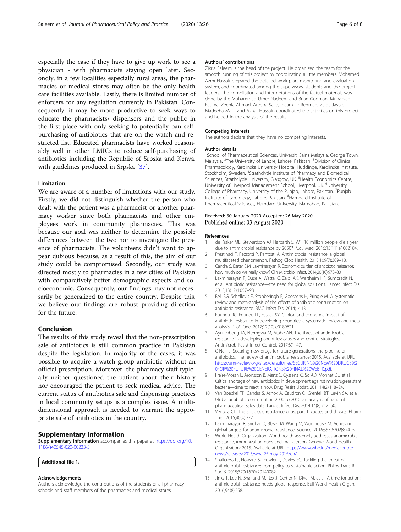<span id="page-5-0"></span>especially the case if they have to give up work to see a physician - with pharmacists staying open later. Secondly, in a few localities especially rural areas, the pharmacies or medical stores may often be the only health care facilities available. Lastly, there is limited number of enforcers for any regulation currently in Pakistan. Consequently, it may be more productive to seek ways to educate the pharmacists/ dispensers and the public in the first place with only seeking to potentially ban selfpurchasing of antibiotics that are on the watch and restricted list. Educated pharmacists have worked reasonably well in other LMICs to reduce self-purchasing of antibiotics including the Republic of Srpska and Kenya, with guidelines produced in Srpska [[37\]](#page-6-0).

#### Limitation

We are aware of a number of limitations with our study. Firstly, we did not distinguish whether the person who dealt with the patient was a pharmacist or another pharmacy worker since both pharmacists and other employees work in community pharmacies. This was because our goal was neither to determine the possible differences between the two nor to investigate the presence of pharmacists. The volunteers didn't want to appear dubious because, as a result of this, the aim of our study could be compromised. Secondly, our study was directed mostly to pharmacies in a few cities of Pakistan with comparatively better demographic aspects and socioeconomic. Consequently, our findings may not necessarily be generalized to the entire country. Despite this, we believe our findings are robust providing direction for the future.

## Conclusion

The results of this study reveal that the non-prescription sale of antibiotics is still common practice in Pakistan despite the legislation. In majority of the cases, it was possible to acquire a watch group antibiotic without an official prescription. Moreover, the pharmacy staff typically neither questioned the patient about their history nor encouraged the patient to seek medical advice. The current status of antibiotics sale and dispensing practices in local community setups is a complex issue. A multidimensional approach is needed to warrant the appropriate sale of antibiotics in the country.

#### Supplementary information

Supplementary information accompanies this paper at [https://doi.org/10.](https://doi.org/10.1186/s40545-020-00233-3) [1186/s40545-020-00233-3](https://doi.org/10.1186/s40545-020-00233-3).

#### Additional file 1.

#### Acknowledgements

Authors acknowledge the contributions of the students of all pharmacy schools and staff members of the pharmacies and medical stores.

#### Authors' contributions

Zikria Saleem is the head of the project. He organized the team for the smooth running of this project by coordinating all the members. Mohamed Azmi Hassali prepared the detailed work plan, monitoring and evaluation system, and coordinated among the supervisors, students and the project leaders. The compilation and interpretations of the factual materials was done by the Muhammad Umer Nadeem and Brian Godman. Munazzah Fatima, Zeenia Ahmad, Areeba Sajid, Inaam Ur Rehman, Zaida Javaid, Madeeha Malik and Azhar Hussain coordinated the activities on this project and helped in the analysis of the results.

#### Competing interests

The authors declare that they have no competing interests.

#### Author details

<sup>1</sup>School of Pharmaceutical Sciences, Universiti Sains Malaysia, George Town Malaysia. <sup>2</sup>The University of Lahore, Lahore, Pakistan. <sup>3</sup>Division of Clinical Pharmacology, Karolinska University Hospital Huddinge, Karolinska Institute, Stockholm, Sweden. <sup>4</sup>Strathclyde Institute of Pharmacy and Biomedical Sciences, Strathclyde University, Glasgow, UK.<sup>5</sup> Health Economics Centre, University of Liverpool Management School, Liverpool, UK. <sup>6</sup>University College of Pharmacy, University of the Punjab, Lahore, Pakistan. <sup>7</sup>Punjab Institute of Cardiology, Lahore, Pakistan. <sup>8</sup> Hamdard Institute of Pharmaceutical Sciences, Hamdard University, Islamabad, Pakistan.

#### Received: 30 January 2020 Accepted: 26 May 2020 Published online: 03 August 2020

#### References

- 1. de Kraker ME, Stewardson AJ, Harbarth S. Will 10 million people die a year due to antimicrobial resistance by 2050? PLoS Med. 2016;13(11):e1002184.
- 2. Prestinaci F, Pezzotti P, Pantosti A. Antimicrobial resistance: a global multifaceted phenomenon. Pathog Glob Health. 2015;109(7):309–18. Gandra S, Barter DM, Laxminarayan R. Economic burden of antibiotic resistance:
- how much do we really know? Clin Microbiol Infect. 2014;20(10):973–80.
- 4. Laxminarayan R, Duse A, Wattal C, Zaidi AK, Wertheim HF, Sumpradit N, et al. Antibiotic resistance—the need for global solutions. Lancet Infect Dis. 2013;13(12):1057–98.
- 5. Bell BG, Schellevis F, Stobberingh E, Goossens H, Pringle M. A systematic review and meta-analysis of the effects of antibiotic consumption on antibiotic resistance. BMC Infect Dis. 2014;14:13.
- 6. Founou RC, Founou LL, Essack SY. Clinical and economic impact of antibiotic resistance in developing countries: a systematic review and metaanalysis. PLoS One. 2017;12(12):e0189621.
- 7. Ayukekbong JA, Ntemgwa M, Atabe AN. The threat of antimicrobial resistance in developing countries: causes and control strategies. Antimicrob Resist Infect Control. 2017;6(1):47.
- O'Neill J. Securing new drugs for future generations: the pipeline of antibiotics. The review of antimicrobial resistance; 2015. Available at URL: [https://amr-review.org/sites/default/files/SECURING%20NEW%20DRUGS%2](https://amr-review.org/sites/default/files/SECURING%20NEW%20DRUGS%20FOR%20FUTURE%20GENERATIONS%20FINAL%20WEB_0.pdf) [0FOR%20FUTURE%20GENERATIONS%20FINAL%20WEB\\_0.pdf](https://amr-review.org/sites/default/files/SECURING%20NEW%20DRUGS%20FOR%20FUTURE%20GENERATIONS%20FINAL%20WEB_0.pdf).
- 9. Freire-Moran L, Aronsson B, Manz C, Gyssens IC, So AD, Monnet DL, et al. Critical shortage of new antibiotics in development against multidrug-resistant bacteria—time to react is now. Drug Resist Updat. 2011;14(2):118–24.
- 10. Van Boeckel TP, Gandra S, Ashok A, Caudron Q, Grenfell BT, Levin SA, et al. Global antibiotic consumption 2000 to 2010: an analysis of national pharmaceutical sales data. Lancet Infect Dis. 2014;14(8):742–50.
- 11. Ventola CL. The antibiotic resistance crisis: part 1: causes and threats. Pharm Ther. 2015;40(4):277.
- 12. Laxminarayan R, Sridhar D, Blaser M, Wang M, Woolhouse M. Achieving global targets for antimicrobial resistance. Science. 2016;353(6302):874–5.
- 13. World Health Organization. World health assembly addresses antimicrobial resistance, immunization gaps and malnutrition. Geneva: World Health Organization; 2015. Available at URL: [https://www.who.int/mediacentre/](https://www.who.int/mediacentre/news/releases/2015/wha-25-may-2015/en/) [news/releases/2015/wha-25-may-2015/en/.](https://www.who.int/mediacentre/news/releases/2015/wha-25-may-2015/en/)
- 14. Shallcross LJ, Howard SJ, Fowler T, Davies SC. Tackling the threat of antimicrobial resistance: from policy to sustainable action. Philos Trans R Soc B. 2015;370(1670):20140082.
- 15. Jinks T, Lee N, Sharland M, Rex J, Gertler N, Diver M, et al. A time for action: antimicrobial resistance needs global response. Bull World Health Organ. 2016;94(8):558.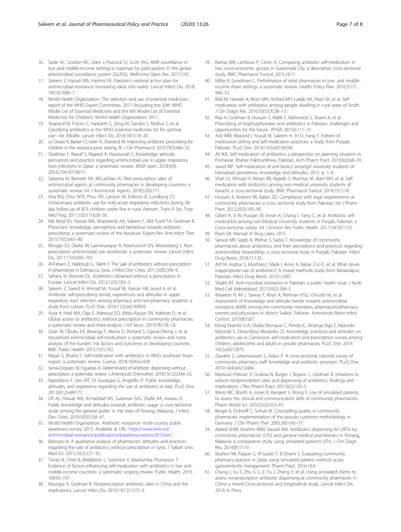- <span id="page-6-0"></span>16. Seale AC, Gordon NC, Islam J, Peacock SJ, Scott JAG. AMR surveillance in low and middle-income settings-a roadmap for participation in the global antimicrobial surveillance system (GLASS). Wellcome Open Res. 2017;2:92.
- 17. Saleem Z, Hassali MA, Hashmi FK. Pakistan's national action plan for antimicrobial resistance: translating ideas into reality. Lancet Infect Dis. 2018; 18(10):1066–7.
- 18. World Health Organization. The selection and use of essential medicines: report of the WHO Expert Committee, 2017 (including the 20th WHO Model List of Essential Medicines and the 6th Model List of Essential Medicines for Children): World Health Organization; 2017.
- 19. Sharland M, Pulcini C, Harbarth S, Zeng M, Gandra S, Mathur S, et al. Classifying antibiotics in the WHO essential medicines list for optimal use—be AWaRe. Lancet Infect Dis. 2018;18(1):18–20.
- 20. Le Doare K, Barker CI, Irwin A, Sharland M. Improving antibiotic prescribing for children in the resource-poor setting. Br J Clin Pharmacol. 2015;79(3):446–55.
- 21. Shaikhan F, Rawaf S, Majeed A, Hassounah S. Knowledge, attitude, perception and practice regarding antimicrobial use in upper respiratory tract infections in Qatar: a systematic review. JRSM open. 2018;9(9): 2054270418774971.
- 22. Sakeena M, Bennett AA, McLachlan AJ. Non-prescription sales of antimicrobial agents at community pharmacies in developing countries: a systematic review. Int J Antimicrob Agents. 2018;52(6):771.
- 23. Hoa NQ, Chuc NTK, Phuc HD, Larsson M, Eriksson B, Lundborg CS. Unnecessary antibiotic use for mild acute respiratory infections during 28 day follow-up of 823 children under five in rural Vietnam. Trans R Soc Trop Med Hyg. 2011;105(11):628–36.
- 24. Md Rezal RS, Hassali MA, Alrasheedy AA, Saleem F, Md Yusof FA, Godman B. Physicians' knowledge, perceptions and behaviour towards antibiotic prescribing: a systematic review of the literature. Expert Rev Anti-Infect Ther. 2015;13(5):665–80.
- 25. Morgan DJ, Okeke IN, Laxminarayan R, Perencevich EN, Weisenberg S. Nonprescription antimicrobial use worldwide: a systematic review. Lancet Infect Dis. 2011;11(9):692-701.
- 26. Al-Faham Z, Habboub G, Takriti F. The sale of antibiotics without prescription in pharmacies in Damascus, Syria. J Infect Dev Ctries. 2011;5(05):396–9.
- 27. Safrany N, Monnet DL. Antibiotics obtained without a prescription in Europe. Lancet Infect Dis. 2012;12(3):182–3.
- 28. Saleem Z, Saeed H, Ahmad M, Yousaf M, Hassan HB, Javed A, et al. Antibiotic self-prescribing trends, experiences and attitudes in upper respiratory tract infection among pharmacy and non-pharmacy students: a study from Lahore. PLoS One. 2016;11(2):e0149929.
- 29. Auta A, Hadi MA, Oga E, Adewuyi EO, Abdu-Aguye SN, Adeloye D, et al. Global access to antibiotics without prescription in community pharmacies: a systematic review and meta-analysis. J Inf Secur. 2019;78(1):8–18.
- 30. Ocan M, Obuku EA, Bwanga F, Akena D, Richard S, Ogwal-Okeng J, et al. Household antimicrobial self-medication: a systematic review and metaanalysis of the burden, risk factors and outcomes in developing countries. BMC Public Health. 2015;15(1):742.
- 31. Nepal G, Bhatta S. Self-medication with antibiotics in WHO southeast Asian region: a systematic review. Cureus. 2018;10(4):e2428.
- 32. Servia-Dopazo M, Figueiras A. Determinants of antibiotic dispensing without prescription: a systematic review. J Antimicrob Chemother. 2018;73(12):3244–53.
- 33. Napolitano F, Izzo MT, Di Giuseppe G, Angelillo IF. Public knowledge, attitudes, and experience regarding the use of antibiotics in Italy. PLoS One. 2013;8(12):e84177.
- 34. Oh AL, Hassali MA, Al-Haddad MS, Sulaiman SAS, Shafie AA, Awaisu A. Public knowledge and attitudes towards antibiotic usage: a cross-sectional study among the general public in the state of Penang, Malaysia. J Infect Dev Ctries. 2010;5(05):338–47.
- 35. World Health Organization. Antibiotic resistance: multi-country public awareness survey; 2015. Available at URL: [https://www.who.int/](https://www.who.int/antimicrobial-resistance/publications/baselinesurveynov2015/en/) [antimicrobial-resistance/publications/baselinesurveynov2015/en/.](https://www.who.int/antimicrobial-resistance/publications/baselinesurveynov2015/en/)
- 36. Bahnassi A. A qualitative analysis of pharmacists' attitudes and practices regarding the sale of antibiotics without prescription in Syria. J Taibah Univ Med Sci. 2015;10(2):227–33.
- 37. Torres N, Chibi B, Middleton L, Solomon V, Mashamba-Thompson T. Evidence of factors influencing self-medication with antibiotics in low and middle-income countries: a systematic scoping review. Public Health. 2019; 168:92–101.
- 38. Kalungia A, Godman B. Nonprescription antibiotic sales in China and the implications. Lancet Infect Dis. 2019;19(12):1272–3.
- 39. Ramay BM, Lambour P, Cerón A. Comparing antibiotic self-medication in two socio-economic groups in Guatemala City: a descriptive cross-sectional study. BMC Pharmacol Toxicol. 2015;16:11.
- 40. Miller R, Goodman C. Performance of retail pharmacies in low- and middleincome Asian settings: a systematic review. Health Policy Plan. 2016;31(7): 940–53.
- 41. Bilal M, Haseeb A, Khan MH, Arshad MH, Ladak AA, Niazi SK, et al. Selfmedication with antibiotics among people dwelling in rural areas of Sindh. J Clin Diagn Res. 2016;10(5):OC08–13.
- 42. Riaz H, Godman B, Hussain S, Malik F, Mahmood S, Shami A, et al. Prescribing of bisphosphonates and antibiotics in Pakistan: challenges and opportunities for the future. JPHSR. 2015;6:111–21.
- 43. Aziz MM, Masood I, Yousaf M, Saleem H, Ye D, Fang Y. Pattern of medication selling and self-medication practices: a study from Punjab, Pakistan. PLoS One. 2018;13(3):e0194240.
- 44. Ali IKA. Self-medication of antibiotics: a perspective on alarming situation in Peshawar, Khyber Pakhtunkhwa, Pakistan. Arch Pharm Pract. 2015;6(3):68–70.
- 45. Javed MP. Self-medication of anti-biotics amongst university students of Islamabad: prevalence, knowledge and attitudes; 2013. p. 1–4.
- 46. Shah SJ, Ahmad H, Rehan RB, Najeeb S, Mumtaz M, Jilani MH, et al. Selfmedication with antibiotics among non-medical university students of Karachi: a cross-sectional study. BMC Pharmacol Toxicol. 2014;15(1):74.
- 47. Hussain A, Ibrahim MI, Baber ZD. Compliance with legal requirements at community pharmacies: a cross sectional study from Pakistan. Int J Pharm Pract. 2012;20(3):183–90.
- 48. Gillani A, Ji W, Hussain W, Imran A, Chang J, Yang C, et al. Antibiotic selfmedication among non-Medical University students in Punjab, Pakistan: a Cross-sectional survey. Int J Environ Res Public Health. 2017;14(10):1152.
- Khan SA. Manual of drug Laws; 2015.
- 50. Sarwar MR, Saqib A, Iftikhar S, Sadiq T. Knowledge of community pharmacists about antibiotics, and their perceptions and practices regarding antimicrobial stewardship: a cross-sectional study in Punjab, Pakistan. Infect Drug Resist. 2018;11:133.
- 51. Atif M, Asghar S, Mushtaq I, Malik I, Amin A, Babar Z-U-D, et al. What drives inappropriate use of antibiotics? A mixed methods study from Bahawalpur, Pakistan. Infect Drug Resist. 2019;12:687.
- 52. Shaikh BT. Anti-microbial resistance in Pakistan: a public health issue. J Ayub Med Coll Abbottabad. 2017;29(2):184–5.
- 53. Waseem H, Ali J, Sarwar F, Khan A, Rehman HSU, Choudri M, et al. Assessment of knowledge and attitude trends towards antimicrobial resistance (AMR) among the community members, pharmacists/pharmacy owners and physicians in district Sialkot, Pakistan. Antimicrob Resist Infect Control. 2019;8(1):67.
- 54. Elong Ekambi G-A, Okalla Ebongue C, Penda IC, Nnanga Nga E, Mpondo Mpondo E, Eboumbou Moukoko CE. Knowledge, practices and attitudes on antibiotics use in Cameroon: self-medication and prescription survey among children, adolescents and adults in private pharmacies. PLoS One. 2019; 14(2):e0212875.
- 55. Zawahir S, Lekamwasam S, Aslani P. A cross-sectional national survey of community pharmacy staff: knowledge and antibiotic provision. PLoS One. 2019;14(4):e0215484.
- 56. Markovic-Pekovic V, Grubisa N, Burger J, Bojanic L, Godman B. Initiatives to reduce nonprescription sales and dispensing of antibiotics: findings and implications. J Res Pharm Pract. 2017;6(2):120–5.
- 57. Weiss MC, Booth A, Jones B, Ramjeet S, Wong E. Use of simulated patients to assess the clinical and communication skills of community pharmacists. Pharm World Sci. 2010;32(3):353–61.
- 58. Berger K, Eickhoff C, Schulz M. Counselling quality in community pharmacies: implementation of the pseudo customer methodology in Germany. J Clin Pharm Ther. 2005;30(1):45–57.
- 59. Alabid AHM, Ibrahim MIM, Hassali MA. Antibiotics dispensing for URTIs by community pharmacists (CPs) and general medical practitioners in Penang, Malaysia: a comparative study using simulated patients (SPs). J Clin Diagn Res. 2014;8(1):119.
- 60. Ibrahim MI, Palaian S, Al-Sulaiti F, El-Shami S. Evaluating community pharmacy practice in Qatar using simulated patient method: acute gastroenteritis management. Pharm Pract. 2016;14:4.
- 61. Chang J, Xu S, Zhu S, Li Z, Yu J, Zhang Y, et al. Using simulated clients to assess nonprescription antibiotic dispensing at community pharmacies in China: a mixed Cross-sectional and longitudinal study. Lancet Infect Dis. 2019; In Press.